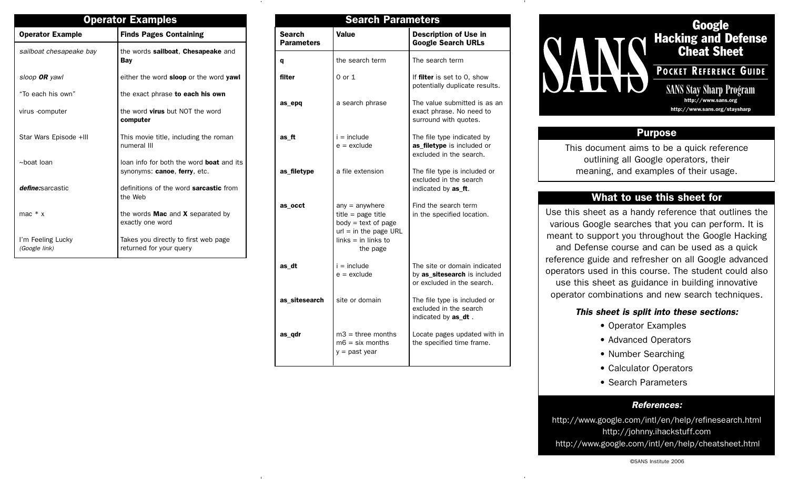| <b>Operator Examples</b>           |                                                                                 |  |  |
|------------------------------------|---------------------------------------------------------------------------------|--|--|
| <b>Operator Example</b>            | <b>Finds Pages Containing</b>                                                   |  |  |
| sailboat chesapeake bay            | the words sailboat, Chesapeake and<br>Bay                                       |  |  |
| sloop <b>OR</b> yawl               | either the word <b>sloop</b> or the word yawl                                   |  |  |
| "To each his own"                  | the exact phrase to each his own                                                |  |  |
| virus -computer                    | the word virus but NOT the word<br>computer                                     |  |  |
| Star Wars Episode +III             | This movie title, including the roman<br>numeral III                            |  |  |
| $\sim$ hoat loan                   | loan info for both the word <b>boat</b> and its<br>synonyms: canoe, ferry, etc. |  |  |
| define:sarcastic                   | definitions of the word <b>sarcastic</b> from<br>the Web                        |  |  |
| mac $* x$                          | the words <b>Mac</b> and $X$ separated by<br>exactly one word                   |  |  |
| I'm Feeling Lucky<br>(Google link) | Takes you directly to first web page<br>returned for your query                 |  |  |

| <b>Search Parameters</b>           |                                                                                                                                   |                                                                                            |  |  |
|------------------------------------|-----------------------------------------------------------------------------------------------------------------------------------|--------------------------------------------------------------------------------------------|--|--|
| <b>Search</b><br><b>Parameters</b> | <b>Value</b>                                                                                                                      | <b>Description of Use in</b><br><b>Google Search URLs</b>                                  |  |  |
| q                                  | the search term                                                                                                                   | The search term                                                                            |  |  |
| filter                             | 0 or 1                                                                                                                            | If filter is set to 0, show<br>potentially duplicate results.                              |  |  |
| as_epq                             | a search phrase                                                                                                                   | The value submitted is as an<br>exact phrase. No need to<br>surround with quotes.          |  |  |
| as_ft                              | $i =$ include<br>$e =$ exclude                                                                                                    | The file type indicated by<br>as_filetype is included or<br>excluded in the search.        |  |  |
| as_filetype                        | a file extension                                                                                                                  | The file type is included or<br>excluded in the search<br>indicated by as_ft.              |  |  |
| as occt                            | $any = anywhere$<br>$title = page title$<br>$body = text of page$<br>$url = in the page URL$<br>$links = in links to$<br>the page | Find the search term<br>in the specified location.                                         |  |  |
| as_dt                              | $i =$ include<br>$e =$ exclude                                                                                                    | The site or domain indicated<br>by as_sitesearch is included<br>or excluded in the search. |  |  |
| as sitesearch                      | site or domain                                                                                                                    | The file type is included or<br>excluded in the search<br>indicated by as_dt.              |  |  |
| as_qdr                             | $m3$ = three months<br>$m6 = six months$<br>$y =$ past year                                                                       | Locate pages updated with in<br>the specified time frame.                                  |  |  |

**Google Hacking and Defense Cheat Sheet POCKET REFERENCE GUIDE** SANS Stay Sharp Program **http://www.sans.org http://www.sans.org/staysharp**

# **Purpose**

This document aims to be a quick reference outlining all Google operators, their meaning, and examples of their usage.

# **What to use this sheet for**

Use this sheet as a handy reference that outlines the various Google searches that you can perform. It is meant to support you throughout the Google Hacking and Defense course and can be used as a quick reference guide and refresher on all Google advanced operators used in this course. The student could also use this sheet as guidance in building innovative operator combinations and new search techniques.

### **This sheet is split into these sections:**

- Operator Examples
- Advanced Operators
- Number Searching
- Calculator Operators
- Search Parameters

## **References:**

http://www.google.com/intl/en/help/refinesearch.html http://johnny.ihackstuff.com http://www.google.com/intl/en/help/cheatsheet.html

#### ©SANS Institute 2006